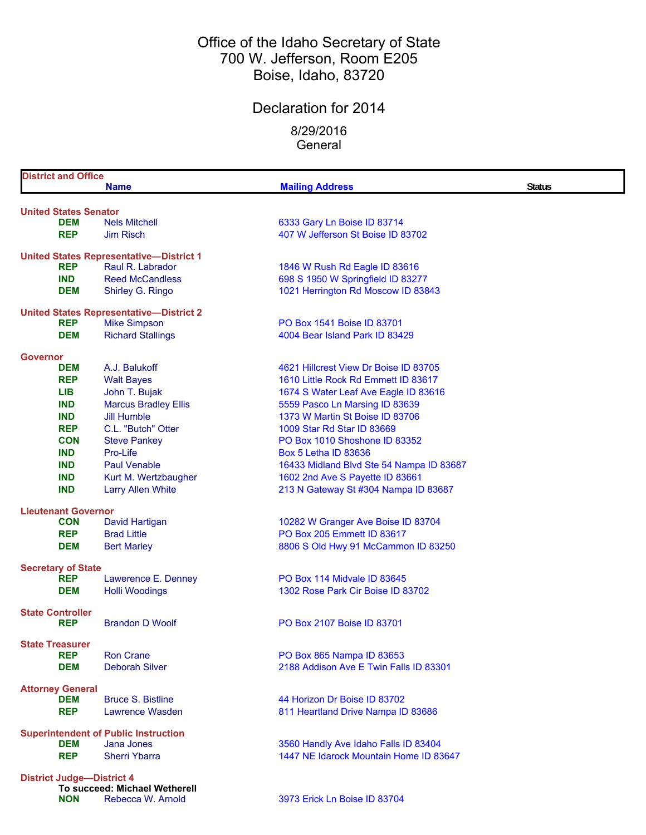## Office of the Idaho Secretary of State 700 W. Jefferson, Room E205 Boise, Idaho, 83720

# Declaration for 2014

8/29/2016 **General** 

| <b>District and Office</b>               |                                                |                                                                     |               |
|------------------------------------------|------------------------------------------------|---------------------------------------------------------------------|---------------|
|                                          | <b>Name</b>                                    | <b>Mailing Address</b>                                              | <b>Status</b> |
| <b>United States Senator</b>             |                                                |                                                                     |               |
| <b>DEM</b>                               | <b>Nels Mitchell</b>                           | 6333 Gary Ln Boise ID 83714                                         |               |
| <b>REP</b>                               | <b>Jim Risch</b>                               | 407 W Jefferson St Boise ID 83702                                   |               |
|                                          |                                                |                                                                     |               |
|                                          | <b>United States Representative-District 1</b> |                                                                     |               |
| <b>REP</b>                               | Raul R. Labrador                               | 1846 W Rush Rd Eagle ID 83616                                       |               |
| <b>IND</b>                               | <b>Reed McCandless</b>                         | 698 S 1950 W Springfield ID 83277                                   |               |
| <b>DEM</b>                               | Shirley G. Ringo                               | 1021 Herrington Rd Moscow ID 83843                                  |               |
|                                          | <b>United States Representative-District 2</b> |                                                                     |               |
| <b>REP</b>                               | <b>Mike Simpson</b>                            | PO Box 1541 Boise ID 83701                                          |               |
| <b>DEM</b>                               | <b>Richard Stallings</b>                       | 4004 Bear Island Park ID 83429                                      |               |
|                                          |                                                |                                                                     |               |
| Governor<br><b>DEM</b>                   | A.J. Balukoff                                  | 4621 Hillcrest View Dr Boise ID 83705                               |               |
| <b>REP</b>                               | <b>Walt Bayes</b>                              | 1610 Little Rock Rd Emmett ID 83617                                 |               |
| <b>LIB</b>                               | John T. Bujak                                  | 1674 S Water Leaf Ave Eagle ID 83616                                |               |
| <b>IND</b>                               | <b>Marcus Bradley Ellis</b>                    | 5559 Pasco Ln Marsing ID 83639                                      |               |
| <b>IND</b>                               | <b>Jill Humble</b>                             | 1373 W Martin St Boise ID 83706                                     |               |
| <b>REP</b>                               | C.L. "Butch" Otter                             | 1009 Star Rd Star ID 83669                                          |               |
| <b>CON</b>                               | <b>Steve Pankey</b>                            | PO Box 1010 Shoshone ID 83352                                       |               |
| <b>IND</b>                               | Pro-Life                                       | <b>Box 5 Letha ID 83636</b>                                         |               |
| <b>IND</b>                               | <b>Paul Venable</b>                            | 16433 Midland Blvd Ste 54 Nampa ID 83687                            |               |
| <b>IND</b>                               | Kurt M. Wertzbaugher                           | 1602 2nd Ave S Payette ID 83661                                     |               |
| <b>IND</b>                               | <b>Larry Allen White</b>                       | 213 N Gateway St #304 Nampa ID 83687                                |               |
|                                          |                                                |                                                                     |               |
| <b>Lieutenant Governor</b><br><b>CON</b> | David Hartigan                                 | 10282 W Granger Ave Boise ID 83704                                  |               |
| <b>REP</b>                               | <b>Brad Little</b>                             | PO Box 205 Emmett ID 83617                                          |               |
| <b>DEM</b>                               | <b>Bert Marley</b>                             | 8806 S Old Hwy 91 McCammon ID 83250                                 |               |
|                                          |                                                |                                                                     |               |
| <b>Secretary of State</b>                |                                                |                                                                     |               |
| <b>REP</b>                               | Lawerence E. Denney                            | PO Box 114 Midvale ID 83645                                         |               |
| <b>DEM</b>                               | <b>Holli Woodings</b>                          | 1302 Rose Park Cir Boise ID 83702                                   |               |
| <b>State Controller</b>                  |                                                |                                                                     |               |
| <b>REP</b>                               | <b>Brandon D Woolf</b>                         | PO Box 2107 Boise ID 83701                                          |               |
|                                          |                                                |                                                                     |               |
| <b>State Treasurer</b><br><b>REP</b>     | <b>Ron Crane</b>                               |                                                                     |               |
| <b>DEM</b>                               | <b>Deborah Silver</b>                          | PO Box 865 Nampa ID 83653<br>2188 Addison Ave E Twin Falls ID 83301 |               |
|                                          |                                                |                                                                     |               |
| <b>Attorney General</b>                  |                                                |                                                                     |               |
| <b>DEM</b>                               | <b>Bruce S. Bistline</b>                       | 44 Horizon Dr Boise ID 83702                                        |               |
| <b>REP</b>                               | Lawrence Wasden                                | 811 Heartland Drive Nampa ID 83686                                  |               |
|                                          | <b>Superintendent of Public Instruction</b>    |                                                                     |               |
| <b>DEM</b>                               | Jana Jones                                     | 3560 Handly Ave Idaho Falls ID 83404                                |               |
| <b>REP</b>                               | <b>Sherri Ybarra</b>                           | 1447 NE Idarock Mountain Home ID 83647                              |               |
|                                          |                                                |                                                                     |               |
| <b>District Judge-District 4</b>         |                                                |                                                                     |               |
|                                          | To succeed: Michael Wetherell                  | 3973 Erick Ln Boise ID 83704                                        |               |
| <b>NON</b>                               | Rebecca W. Arnold                              |                                                                     |               |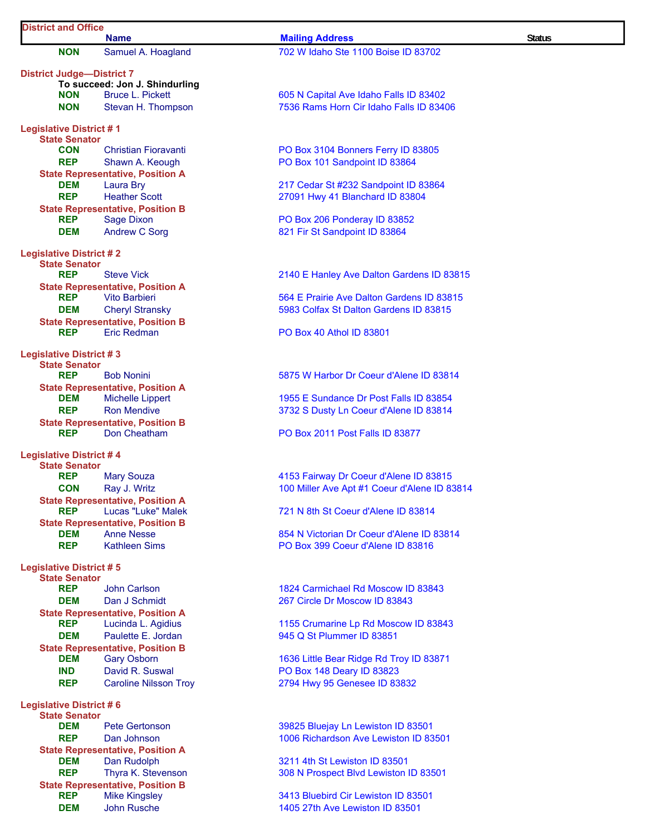| <b>District and Office</b>                             | <b>Name</b>                                                   | <b>Mailing Address</b>                                            | <b>Status</b> |
|--------------------------------------------------------|---------------------------------------------------------------|-------------------------------------------------------------------|---------------|
| <b>NON</b>                                             | Samuel A. Hoagland                                            | 702 W Idaho Ste 1100 Boise ID 83702                               |               |
| <b>District Judge-District 7</b>                       |                                                               |                                                                   |               |
|                                                        | To succeed: Jon J. Shindurling                                |                                                                   |               |
| <b>NON</b>                                             | <b>Bruce L. Pickett</b>                                       | 605 N Capital Ave Idaho Falls ID 83402                            |               |
| <b>NON</b>                                             | Stevan H. Thompson                                            | 7536 Rams Horn Cir Idaho Falls ID 83406                           |               |
| <b>Legislative District #1</b>                         |                                                               |                                                                   |               |
| <b>State Senator</b>                                   |                                                               |                                                                   |               |
| <b>CON</b>                                             | <b>Christian Fioravanti</b>                                   | PO Box 3104 Bonners Ferry ID 83805                                |               |
| <b>REP</b>                                             | Shawn A. Keough                                               | PO Box 101 Sandpoint ID 83864                                     |               |
|                                                        | <b>State Representative, Position A</b>                       |                                                                   |               |
| <b>DEM</b>                                             | <b>Laura Bry</b>                                              | 217 Cedar St #232 Sandpoint ID 83864                              |               |
| <b>REP</b>                                             | <b>Heather Scott</b>                                          | 27091 Hwy 41 Blanchard ID 83804                                   |               |
|                                                        | <b>State Representative, Position B</b>                       |                                                                   |               |
| <b>REP</b>                                             | <b>Sage Dixon</b>                                             | PO Box 206 Ponderay ID 83852                                      |               |
| <b>DEM</b>                                             | <b>Andrew C Sorg</b>                                          | 821 Fir St Sandpoint ID 83864                                     |               |
| <b>Legislative District #2</b>                         |                                                               |                                                                   |               |
| <b>State Senator</b><br><b>REP</b>                     | <b>Steve Vick</b>                                             | 2140 E Hanley Ave Dalton Gardens ID 83815                         |               |
|                                                        | <b>State Representative, Position A</b>                       |                                                                   |               |
| <b>REP</b>                                             | <b>Vito Barbieri</b>                                          | 564 E Prairie Ave Dalton Gardens ID 83815                         |               |
| <b>DEM</b>                                             | <b>Cheryl Stransky</b>                                        | 5983 Colfax St Dalton Gardens ID 83815                            |               |
|                                                        | <b>State Representative, Position B</b>                       |                                                                   |               |
| <b>REP</b>                                             | Eric Redman                                                   | <b>PO Box 40 Athol ID 83801</b>                                   |               |
| <b>Legislative District #3</b>                         |                                                               |                                                                   |               |
| <b>State Senator</b>                                   |                                                               |                                                                   |               |
| <b>REP</b>                                             | <b>Bob Nonini</b>                                             | 5875 W Harbor Dr Coeur d'Alene ID 83814                           |               |
|                                                        | <b>State Representative, Position A</b>                       |                                                                   |               |
| DEM                                                    | <b>Michelle Lippert</b>                                       | 1955 E Sundance Dr Post Falls ID 83854                            |               |
| <b>REP</b>                                             | <b>Ron Mendive</b>                                            | 3732 S Dusty Ln Coeur d'Alene ID 83814                            |               |
| <b>REP</b>                                             | <b>State Representative, Position B</b><br>Don Cheatham       | PO Box 2011 Post Falls ID 83877                                   |               |
|                                                        |                                                               |                                                                   |               |
| <b>Legislative District #4</b><br><b>State Senator</b> |                                                               |                                                                   |               |
| <b>REP</b>                                             | <b>Mary Souza</b>                                             | 4153 Fairway Dr Coeur d'Alene ID 83815                            |               |
| CON                                                    | Ray J. Writz                                                  | 100 Miller Ave Apt #1 Coeur d'Alene ID 83814                      |               |
|                                                        | <b>State Representative, Position A</b>                       |                                                                   |               |
| <b>REP</b>                                             | Lucas "Luke" Malek                                            | 721 N 8th St Coeur d'Alene ID 83814                               |               |
|                                                        | <b>State Representative, Position B</b>                       |                                                                   |               |
| DEM                                                    | <b>Anne Nesse</b>                                             | 854 N Victorian Dr Coeur d'Alene ID 83814                         |               |
| <b>REP</b>                                             | <b>Kathleen Sims</b>                                          | PO Box 399 Coeur d'Alene ID 83816                                 |               |
| <b>Legislative District #5</b>                         |                                                               |                                                                   |               |
| <b>State Senator</b>                                   |                                                               |                                                                   |               |
| <b>REP</b>                                             | John Carlson                                                  | 1824 Carmichael Rd Moscow ID 83843                                |               |
| <b>DEM</b>                                             | Dan J Schmidt                                                 | 267 Circle Dr Moscow ID 83843                                     |               |
|                                                        | <b>State Representative, Position A</b>                       |                                                                   |               |
| <b>REP</b><br><b>DEM</b>                               | Lucinda L. Agidius<br>Paulette E. Jordan                      | 1155 Crumarine Lp Rd Moscow ID 83843<br>945 Q St Plummer ID 83851 |               |
|                                                        |                                                               |                                                                   |               |
| <b>DEM</b>                                             | <b>State Representative, Position B</b><br><b>Gary Osborn</b> | 1636 Little Bear Ridge Rd Troy ID 83871                           |               |
| <b>IND</b>                                             | David R. Suswal                                               | PO Box 148 Deary ID 83823                                         |               |
| <b>REP</b>                                             | <b>Caroline Nilsson Troy</b>                                  | 2794 Hwy 95 Genesee ID 83832                                      |               |
|                                                        |                                                               |                                                                   |               |
| <b>Legislative District #6</b><br><b>State Senator</b> |                                                               |                                                                   |               |
| DEM                                                    | <b>Pete Gertonson</b>                                         | 39825 Bluejay Ln Lewiston ID 83501                                |               |
| <b>REP</b>                                             | Dan Johnson                                                   | 1006 Richardson Ave Lewiston ID 83501                             |               |
|                                                        | <b>State Representative, Position A</b>                       |                                                                   |               |
| DEM                                                    | Dan Rudolph                                                   | 3211 4th St Lewiston ID 83501                                     |               |
| <b>REP</b>                                             | Thyra K. Stevenson                                            | 308 N Prospect Blvd Lewiston ID 83501                             |               |
|                                                        | <b>State Representative, Position B</b>                       |                                                                   |               |
| <b>REP</b>                                             | <b>Mike Kingsley</b>                                          | 3413 Bluebird Cir Lewiston ID 83501                               |               |
| <b>DEM</b>                                             | <b>John Rusche</b>                                            | 1405 27th Ave Lewiston ID 83501                                   |               |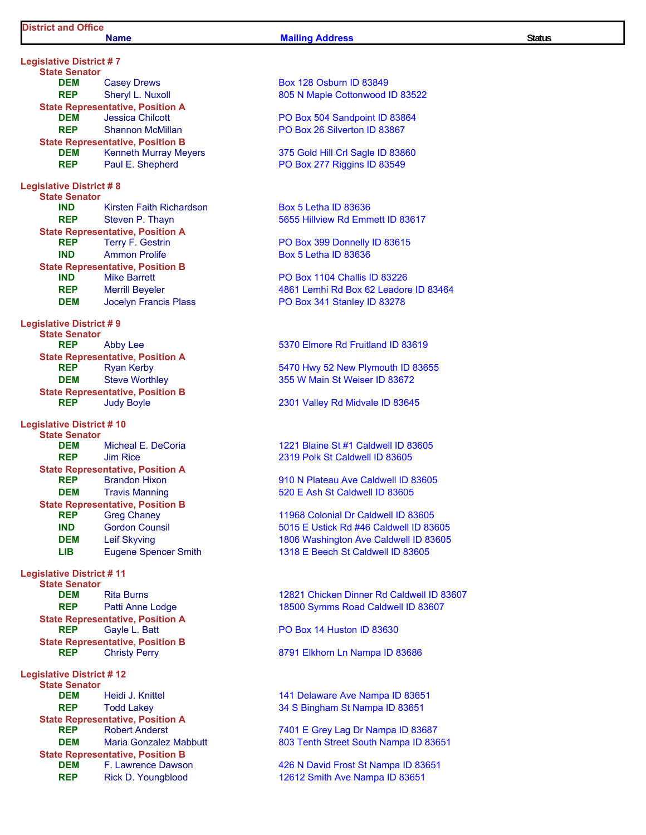### **Name Mailing Address Status Status**

**Legislative District # 7 State Senator DEM** Casey Drews **Box 128 Osburn ID 83849 REP** Sheryl L. Nuxoll 805 N Maple Cottonwood ID 83522 **State Representative, Position A**<br>**DEM** Jessica Chilcott **DEM** Jessica Chilcott **PO Box 504 Sandpoint ID 83864 REP** Shannon McMillan **PO Box 26 Silverton ID 83867 State Representative, Position B DEM** Kenneth Murray Meyers 375 Gold Hill Crl Sagle ID 83860 **REP** Paul E. Shepherd PO Box 277 Riggins ID 83549 **Legislative District # 8 State Senator IND** Kirsten Faith Richardson **Box 5 Letha ID 83636 REP** Steven P. Thayn 5655 Hillview Rd Emmett ID 83617 **State Representative, Position A**<br>**REP** Terry F. Gestrin **REP** Terry F. Gestrin **PO Box 399 Donnelly ID 83615 IND** Ammon Prolife **Box 5 Letha ID 83636 State Representative, Position B**<br>**IND** Mike Barrett **IND** Mike Barrett PO Box 1104 Challis ID 83226 **DEM** Jocelyn Francis Plass PO Box 341 Stanley ID 83278 **Legislative District # 9 State Senator REP** Abby Lee 5370 Elmore Rd Fruitland ID 83619 **State Representative, Position A REP** Ryan Kerby **6470 Hwy 52 New Plymouth ID 83655 DEM** Steve Worthley **355 W Main St Weiser ID 83672 State Representative, Position B**<br>**REP** Judy Boyle **Legislative District # 10 State Senator DEM** Micheal E. DeCoria 1221 Blaine St #1 Caldwell ID 83605 **REP** Jim Rice 2319 Polk St Caldwell ID 83605 **State Representative, Position A REP** Brandon Hixon **1910 N** Plateau Ave Caldwell ID 83605 **DEM** Travis Manning **1988 1988 520 E Ash St Caldwell ID 83605 State Representative, Position B REP** Greg Chaney **11968 Colonial Dr Caldwell ID 83605 IND** Gordon Counsil **Connect Counsil** 5015 E Ustick Rd #46 Caldwell ID 83605 LIB Eugene Spencer Smith 1318 E Beech St Caldwell ID 83605 **Legislative District # 11 State Senator REP** Patti Anne Lodge 18500 Symms Road Caldwell ID 83607 **State Representative, Position A REP** Gayle L. Batt **PO Box 14 Huston ID 83630 State Representative, Position B**<br>**REP** Christy Perry **Legislative District # 12 State Senator DEM** Heidi J. Knittel **141 Delaware Ave Nampa ID 83651 REP** Todd Lakey 34 S Bingham St Nampa ID 83651 **State Representative, Position A**<br>**REP** Robert Anderst **State Representative, Position B**

**REP** Merrill Beyeler **1988** Merrill Beyeler 4861 Lemhi Rd Box 62 Leadore ID 83464

**And Judy Boyle 2301 Valley Rd Midvale ID 83645** 

**DEM** Leif Skyving **1806 Washington Ave Caldwell ID 83605** 

**DEM** Rita Burns **Rita Burns Rita Burns Rita Burns 12821 Chicken Dinner Rd Caldwell ID 83607** 

**Christy Perry <b>REP** Christy Perry **REP REP** 8791 Elkhorn Ln Nampa ID 83686

Robert Anderst **Robert Anderst 2008** 7401 E Grey Lag Dr Nampa ID 83687 **DEM** Maria Gonzalez Mabbutt 803 Tenth Street South Nampa ID 83651

**DEM** F. Lawrence Dawson **426 N David Frost St Nampa ID 83651 REP** Rick D. Youngblood 12612 Smith Ave Nampa ID 83651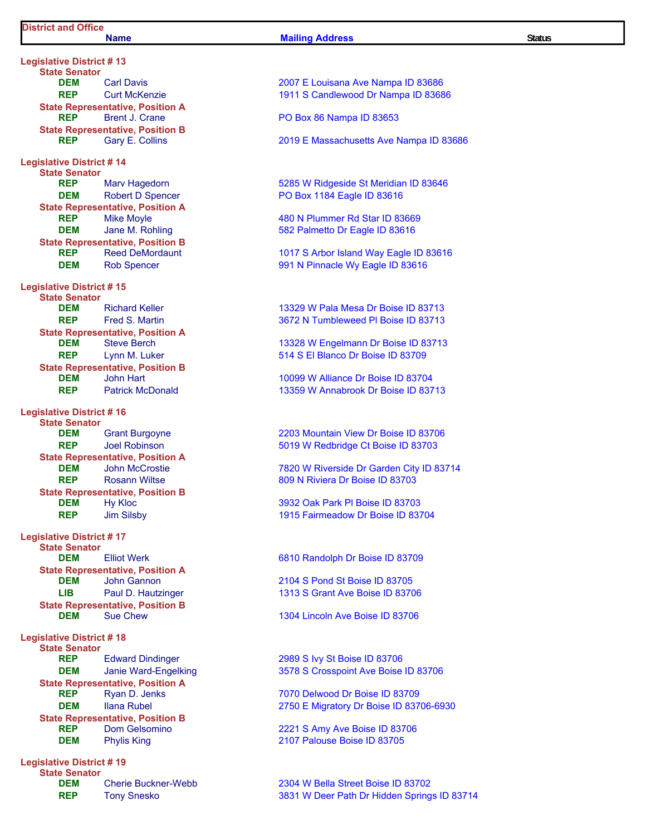**Legislative District # 13 State Senator State Representative, Position A State Representative, Position B Legislative District # 14 State Senator State Representative, Position A**<br>**REP** Mike Moyle **State Representative, Position B Legislative District # 15 State Senator State Representative, Position A**<br>**DEM** Steve Berch **State Representative, Position B**<br>**DEM** John Hart **Legislative District # 16 State Senator State Representative, Position A**<br>**DEM** John McCrostie **State Representative, Position B DEM** Hy Kloc **3932 Oak Park Pl Boise ID 83703 Legislative District # 17 State Senator DEM** Elliot Werk 6810 Randolph Dr Boise ID 83709 **State Representative, Position A DEM** John Gannon 2104 S Pond St Boise ID 83705 **LIB** Paul D. Hautzinger 1313 S Grant Ave Boise ID 83706 **State Representative, Position B**<br>**DEM** Sue Chew **Legislative District # 18 State Senator REP** Edward Dindinger 2989 S Ivy St Boise ID 83706 **State Representative, Position A REP** Ryan D. Jenks 7070 Delwood Dr Boise ID 83709 **State Representative, Position B REP** Dom Gelsomino 2221 S Amy Ave Boise ID 83706 **DEM** Phylis King **CONSERVING 2007 Palouse Boise ID 83705** 

**Legislative District # 19 State Senator**

**Name Mailing Address Status Status DEM** Carl Davis **Carl Davis** 2007 E Louisana Ave Nampa ID 83686 **REP** Curt McKenzie 1911 S Candlewood Dr Nampa ID 83686 **REP** Brent J. Crane **PO Box 86 Nampa ID 83653 REP** Gary E. Collins 2019 E Massachusetts Ave Nampa ID 83686 **REP** Marv Hagedorn **6285 W Ridgeside St Meridian ID 83646 DEM** Robert D Spencer **PO Box 1184 Eagle ID 83616 REP** Mike Moyle **Mike Moyle 1988 Metal 480 N Plummer Rd Star ID 83669 DEM** Jane M. Rohling **1988 582 Palmetto Dr Eagle ID 83616 REP** Reed DeMordaunt 1017 S Arbor Island Way Eagle ID 83616 **DEM** Rob Spencer **1991 N** Pinnacle Wy Eagle ID 83616 **DEM** Richard Keller 13329 W Pala Mesa Dr Boise ID 83713 **REP** Fred S. Martin **1988 Fred S. Martin** 3672 N Tumbleweed Pl Boise ID 83713 13328 W Engelmann Dr Boise ID 83713 **REP** Lynn M. Luker 514 S El Blanco Dr Boise ID 83709 **DEM** John Hart **10099 W Alliance Dr Boise ID 83704 REP** Patrick McDonald **13359 W Annabrook Dr Boise ID 83713 DEM** Grant Burgoyne 2203 Mountain View Dr Boise ID 83706 **REP** Joel Robinson 5019 W Redbridge Ct Boise ID 83703 **7820 W Riverside Dr Garden City ID 83714 REP** Rosann Wiltse 809 N Riviera Dr Boise ID 83703

**REP** Jim Silsby **1915 Fairmeadow Dr Boise ID 83704** 

1304 Lincoln Ave Boise ID 83706

**DEM** Janie Ward-Engelking 3578 S Crosspoint Ave Boise ID 83706

**DEM** Ilana Rubel 2750 E Migratory Dr Boise ID 83706-6930

**DEM** Cherie Buckner-Webb 2304 W Bella Street Boise ID 83702 **REP** Tony Snesko 3831 W Deer Path Dr Hidden Springs ID 83714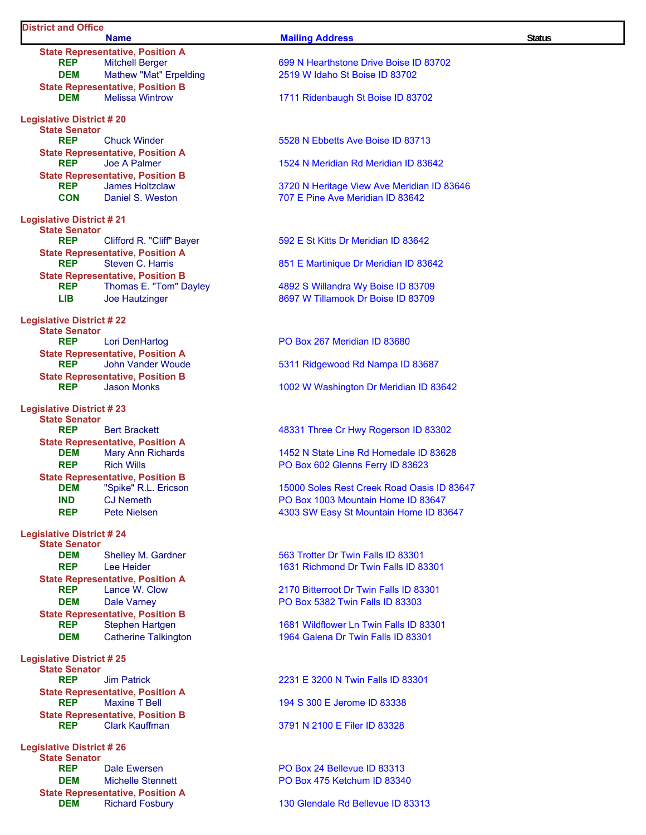## **District and Office**

**State Representative, Position A**<br>**REP** Mitchell Berger **DEM** Mathew "Mat" Erpelding 2519 W Idaho St Boise ID 83702 **State Representative, Position B**<br>**DEM** Melissa Wintrow **DEM** Melissa Wintrow **1711 Ridenbaugh St Boise ID 83702 Legislative District # 20 State Senator REP** Chuck Winder 5528 N Ebbetts Ave Boise ID 83713 **State Representative, Position A REP** Joe A Palmer 1524 N Meridian Rd Meridian ID 83642 **State Representative, Position B**<br>**REP** James Holtzclaw **CON** Daniel S. Weston *CON* 707 E Pine Ave Meridian ID 83642 **Legislative District # 21 State Senator REP** Clifford R. "Cliff" Bayer 592 E St Kitts Dr Meridian ID 83642 **State Representative, Position A REP** Steven C. Harris 851 E Martinique Dr Meridian ID 83642 **State Representative, Position B REP** Thomas E. "Tom" Dayley 4892 S Willandra Wy Boise ID 83709 **LIB** Joe Hautzinger 8697 W Tillamook Dr Boise ID 83709 **Legislative District # 22 State Senator State Representative, Position A REP** John Vander Woude 5311 Ridgewood Rd Nampa ID 83687 **State Representative, Position B REP** Jason Monks 1002 W Washington Dr Meridian ID 83642 **Legislative District # 23 State Senator REP** Bert Brackett **Brackett** 48331 Three Cr Hwy Rogerson ID 83302 **State Representative, Position A DEM** Mary Ann Richards 1452 N State Line Rd Homedale ID 83628 **REP** Rich Wills **Rich Wills PO Box 602 Glenns Ferry ID 83623 State Representative, Position B<br>DEM** "Spike" R.L. Ericson **DEM** "Spike" R.L. Ericson 15000 Soles Rest Creek Road Oasis ID 83647 **Legislative District # 24 State Senator DEM** Shelley M. Gardner 563 Trotter Dr Twin Falls ID 83301 **REP** Lee Heider **1631 Richmond Dr Twin Falls ID 83301 State Representative, Position A**<br>**REP** Lance W. Clow **DEM** Dale Varney **DRI** Dale Varney **PO Box 5382 Twin Falls ID 83303 State Representative, Position B REP** Stephen Hartgen 1681 Wildflower Ln Twin Falls ID 83301 **DEM** Catherine Talkington 1964 Galena Dr Twin Falls ID 83301 **Legislative District # 25 State Senator State Representative, Position A REP** Maxine T Bell 194 S 300 E Jerome ID 83338 **State Representative, Position B REP** Clark Kauffman 3791 N 2100 E Filer ID 83328 **Legislative District # 26 State Senator REP** Dale Ewersen **PO Box 24 Bellevue ID 83313 DEM** Michelle Stennett **PO Box 475 Ketchum ID 83340 State Representative, Position A**<br>**DEM** Richard Fosbury

#### **Name Mailing Address Status**

**699 N Hearthstone Drive Boise ID 83702** 

**3720 N Heritage View Ave Meridian ID 83646** 

Lori DenHartog **PO Box 267 Meridian ID 83680** 

**IND** CJ Nemeth **PO Box 1003 Mountain Home ID 83647 REP** Pete Nielsen **1203** Pete Nielsen **1303 SW Easy St Mountain Home ID 83647** 

2170 Bitterroot Dr Twin Falls ID 83301

**Report Falls ID 83301 Report Falls ID 83301 CONSIDENT** 2231 E 3200 N Twin Falls ID 83301

130 Glendale Rd Bellevue ID 83313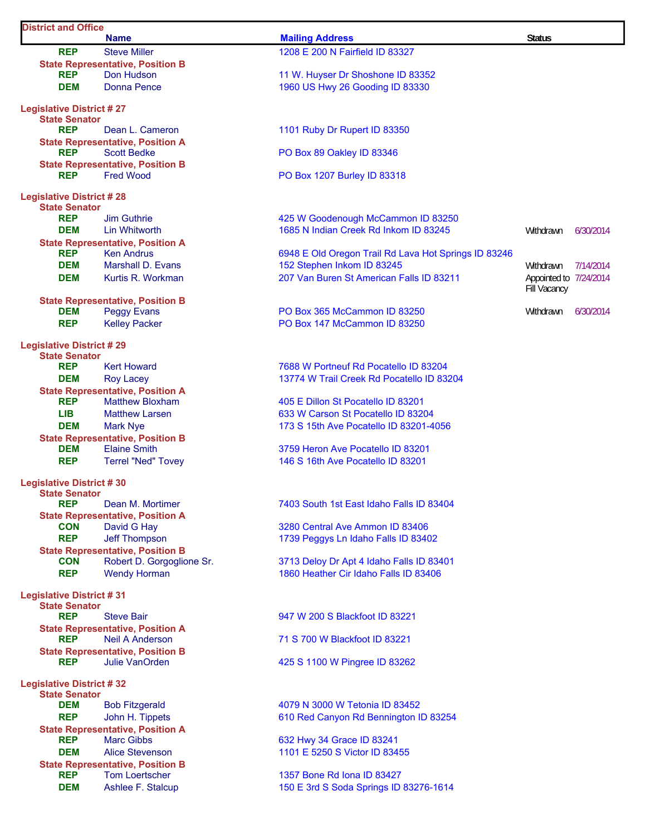| <b>District and Office</b>                              |                                         |                                                      |                        |           |  |  |
|---------------------------------------------------------|-----------------------------------------|------------------------------------------------------|------------------------|-----------|--|--|
|                                                         | <b>Name</b>                             | <b>Mailing Address</b>                               | <b>Status</b>          |           |  |  |
| <b>REP</b>                                              | <b>Steve Miller</b>                     | 1208 E 200 N Fairfield ID 83327                      |                        |           |  |  |
|                                                         | <b>State Representative, Position B</b> |                                                      |                        |           |  |  |
| <b>REP</b>                                              | Don Hudson                              | 11 W. Huyser Dr Shoshone ID 83352                    |                        |           |  |  |
| <b>DEM</b>                                              | <b>Donna Pence</b>                      | 1960 US Hwy 26 Gooding ID 83330                      |                        |           |  |  |
| <b>Legislative District #27</b>                         |                                         |                                                      |                        |           |  |  |
| <b>State Senator</b>                                    |                                         |                                                      |                        |           |  |  |
| <b>REP</b>                                              | Dean L. Cameron                         | 1101 Ruby Dr Rupert ID 83350                         |                        |           |  |  |
|                                                         | <b>State Representative, Position A</b> |                                                      |                        |           |  |  |
| <b>REP</b>                                              | <b>Scott Bedke</b>                      | PO Box 89 Oakley ID 83346                            |                        |           |  |  |
|                                                         | <b>State Representative, Position B</b> |                                                      |                        |           |  |  |
| <b>REP</b>                                              | <b>Fred Wood</b>                        | PO Box 1207 Burley ID 83318                          |                        |           |  |  |
|                                                         |                                         |                                                      |                        |           |  |  |
| <b>Legislative District #28</b><br><b>State Senator</b> |                                         |                                                      |                        |           |  |  |
| <b>REP</b>                                              | <b>Jim Guthrie</b>                      | 425 W Goodenough McCammon ID 83250                   |                        |           |  |  |
| <b>DEM</b>                                              | <b>I</b> in Whitworth                   | 1685 N Indian Creek Rd Inkom ID 83245                | Withdrawn              | 6/30/2014 |  |  |
|                                                         | <b>State Representative, Position A</b> |                                                      |                        |           |  |  |
| <b>REP</b>                                              | <b>Ken Andrus</b>                       | 6948 E Old Oregon Trail Rd Lava Hot Springs ID 83246 |                        |           |  |  |
| <b>DEM</b>                                              | Marshall D. Evans                       | 152 Stephen Inkom ID 83245                           | Withdrawn              | 7/14/2014 |  |  |
| <b>DEM</b>                                              | Kurtis R. Workman                       | 207 Van Buren St American Falls ID 83211             | Appointed to 7/24/2014 |           |  |  |
|                                                         |                                         |                                                      | Fill Vacancy           |           |  |  |
|                                                         | <b>State Representative, Position B</b> |                                                      |                        |           |  |  |
| <b>DEM</b>                                              | <b>Peggy Evans</b>                      | PO Box 365 McCammon ID 83250                         | Withdrawn              | 6/30/2014 |  |  |
| <b>REP</b>                                              | <b>Kelley Packer</b>                    | PO Box 147 McCammon ID 83250                         |                        |           |  |  |
|                                                         |                                         |                                                      |                        |           |  |  |
| <b>Legislative District #29</b><br><b>State Senator</b> |                                         |                                                      |                        |           |  |  |
| <b>REP</b>                                              | <b>Kert Howard</b>                      | 7688 W Portneuf Rd Pocatello ID 83204                |                        |           |  |  |
| <b>DEM</b>                                              | <b>Roy Lacey</b>                        | 13774 W Trail Creek Rd Pocatello ID 83204            |                        |           |  |  |
|                                                         | <b>State Representative, Position A</b> |                                                      |                        |           |  |  |
| <b>REP</b>                                              | <b>Matthew Bloxham</b>                  | 405 E Dillon St Pocatello ID 83201                   |                        |           |  |  |
| <b>LIB</b>                                              | <b>Matthew Larsen</b>                   | 633 W Carson St Pocatello ID 83204                   |                        |           |  |  |
| <b>DEM</b>                                              | <b>Mark Nye</b>                         | 173 S 15th Ave Pocatello ID 83201-4056               |                        |           |  |  |
|                                                         | <b>State Representative, Position B</b> |                                                      |                        |           |  |  |
| <b>DEM</b>                                              | <b>Elaine Smith</b>                     | 3759 Heron Ave Pocatello ID 83201                    |                        |           |  |  |
| <b>REP</b>                                              | <b>Terrel "Ned" Tovey</b>               | 146 S 16th Ave Pocatello ID 83201                    |                        |           |  |  |
| <b>Legislative District #30</b>                         |                                         |                                                      |                        |           |  |  |
| <b>State Senator</b>                                    |                                         |                                                      |                        |           |  |  |
| <b>REP</b>                                              | Dean M. Mortimer                        | 7403 South 1st East Idaho Falls ID 83404             |                        |           |  |  |
|                                                         | <b>State Representative, Position A</b> |                                                      |                        |           |  |  |
| <b>CON</b>                                              | David G Hay                             | 3280 Central Ave Ammon ID 83406                      |                        |           |  |  |
| <b>REP</b>                                              | <b>Jeff Thompson</b>                    | 1739 Peggys Ln Idaho Falls ID 83402                  |                        |           |  |  |
|                                                         | <b>State Representative, Position B</b> |                                                      |                        |           |  |  |
| <b>CON</b>                                              | Robert D. Gorgoglione Sr.               | 3713 Deloy Dr Apt 4 Idaho Falls ID 83401             |                        |           |  |  |
| <b>REP</b>                                              | <b>Wendy Horman</b>                     | 1860 Heather Cir Idaho Falls ID 83406                |                        |           |  |  |
| <b>Legislative District #31</b>                         |                                         |                                                      |                        |           |  |  |
| <b>State Senator</b>                                    |                                         |                                                      |                        |           |  |  |
| <b>REP</b>                                              | <b>Steve Bair</b>                       | 947 W 200 S Blackfoot ID 83221                       |                        |           |  |  |
|                                                         | <b>State Representative, Position A</b> |                                                      |                        |           |  |  |
| <b>REP</b>                                              | <b>Neil A Anderson</b>                  | 71 S 700 W Blackfoot ID 83221                        |                        |           |  |  |
|                                                         | <b>State Representative, Position B</b> |                                                      |                        |           |  |  |
| <b>REP</b>                                              | <b>Julie VanOrden</b>                   | 425 S 1100 W Pingree ID 83262                        |                        |           |  |  |
|                                                         |                                         |                                                      |                        |           |  |  |
| <b>Legislative District #32</b><br><b>State Senator</b> |                                         |                                                      |                        |           |  |  |
| <b>DEM</b>                                              | <b>Bob Fitzgerald</b>                   | 4079 N 3000 W Tetonia ID 83452                       |                        |           |  |  |
| <b>REP</b>                                              | John H. Tippets                         | 610 Red Canyon Rd Bennington ID 83254                |                        |           |  |  |
|                                                         | <b>State Representative, Position A</b> |                                                      |                        |           |  |  |
| <b>REP</b>                                              | <b>Marc Gibbs</b>                       | 632 Hwy 34 Grace ID 83241                            |                        |           |  |  |
| <b>DEM</b>                                              | <b>Alice Stevenson</b>                  | 1101 E 5250 S Victor ID 83455                        |                        |           |  |  |
|                                                         | <b>State Representative, Position B</b> |                                                      |                        |           |  |  |
| <b>REP</b>                                              | <b>Tom Loertscher</b>                   | 1357 Bone Rd Iona ID 83427                           |                        |           |  |  |
| <b>DEM</b>                                              | Ashlee F. Stalcup                       | 150 E 3rd S Soda Springs ID 83276-1614               |                        |           |  |  |